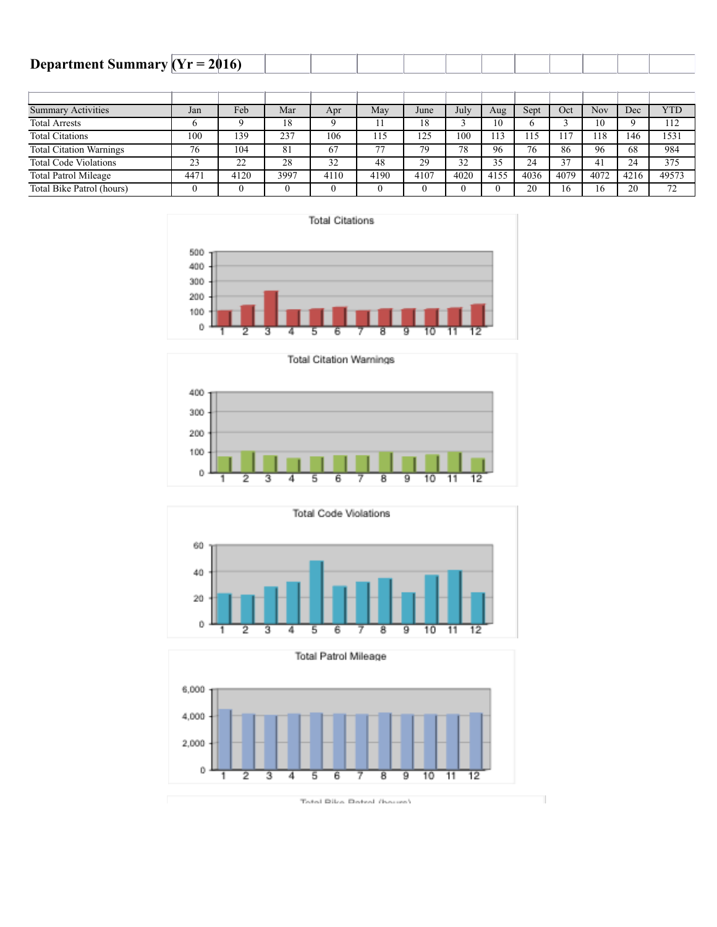| Department Summary $(Yr = 2016)$ |  |  |  |  |  |  |  |
|----------------------------------|--|--|--|--|--|--|--|
|                                  |  |  |  |  |  |  |  |

| <b>Summary Activities</b>      | Jan                | Feb  | Mar  | Apr  | May  | June | July | Aug  | Sept | Oct  | Nov  | Dec  | <b>YTD</b> |
|--------------------------------|--------------------|------|------|------|------|------|------|------|------|------|------|------|------------|
| <b>Total Arrests</b>           |                    |      | 18   |      |      | 18   |      | 10   |      |      | 10   |      | 112        |
| <b>Total Citations</b>         | 100                | 139  | 237  | 106  | 115  | 125  | 100  |      | l 15 |      | 18   | 146  | 1531       |
| <b>Total Citation Warnings</b> | 76                 | 104  | 81   | 67   | 77   | 79   | 78   | 96   | 76   | 86   | 96   | 68   | 984        |
| <b>Total Code Violations</b>   | າາ<br>, <u>, ,</u> | 22   | 28   | 32   | 48   | 29   | 32   | 35   | 24   | 37   | 41   | 24   | 375        |
| <b>Total Patrol Mileage</b>    | 447 <sub>1</sub>   | 4120 | 3997 | 4110 | 4190 | 4107 | 4020 | 4155 | 4036 | 4079 | 4072 | 4216 | 49573      |
| Total Bike Patrol (hours)      |                    |      |      |      |      |      |      |      | 20   | 16   | 16   | 20   | 72         |









T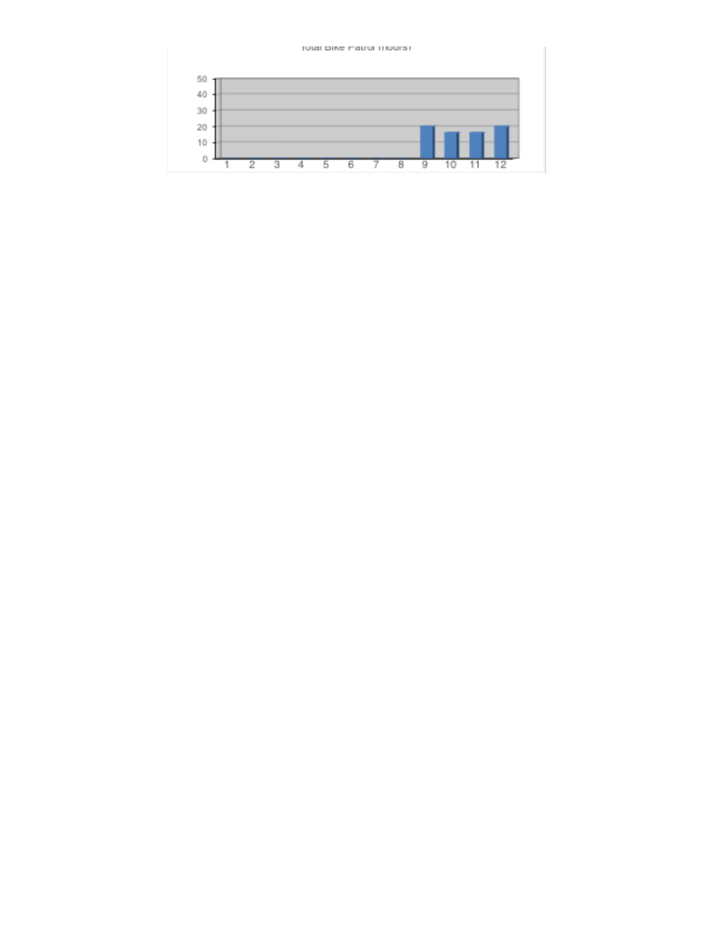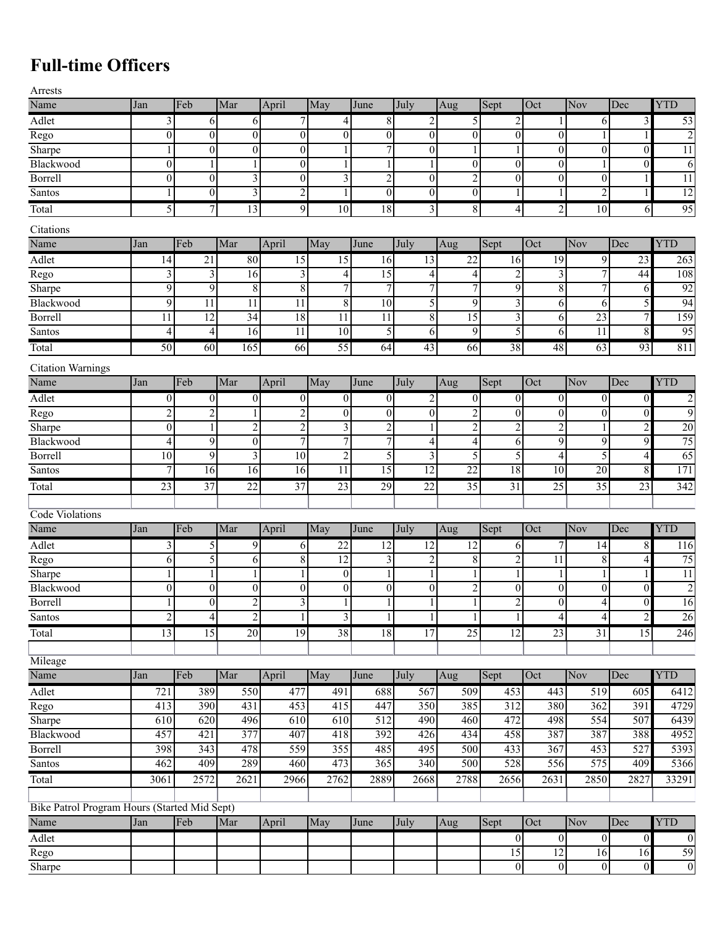## **Full-time Officers**

| ۰,<br>I |  |  |
|---------|--|--|

| Arrests                                      |                  |                  |                  |                  |                         |                  |                         |                  |                  |                  |                  |                  |                  |
|----------------------------------------------|------------------|------------------|------------------|------------------|-------------------------|------------------|-------------------------|------------------|------------------|------------------|------------------|------------------|------------------|
| Name                                         | Jan              | Feb              | Mar              | April            | May                     | June             | July                    | Aug              | Sept             | Oct              | Nov              | Dec              | <b>YTD</b>       |
| Adlet                                        | 3                | 6                | 6                | 7                | 4                       | $\overline{8}$   | $\overline{2}$          | 5                | $\overline{2}$   | 1                | 6                | $\overline{3}$   | 53               |
| Rego                                         | $\boldsymbol{0}$ | $\mathbf{0}$     | $\overline{0}$   | $\theta$         | $\mathbf{0}$            | $\overline{0}$   | $\boldsymbol{0}$        | $\theta$         | $\mathbf{0}$     | $\boldsymbol{0}$ | $\mathbf{1}$     | $\mathbf{1}$     | $\overline{2}$   |
| Sharpe                                       |                  | $\mathbf{0}$     | $\theta$         | $\theta$         | 1                       | 7                | $\mathbf{0}$            | 1                | 1                | $\overline{0}$   | $\theta$         | $\boldsymbol{0}$ | 11               |
| Blackwood                                    | $\theta$         | $\mathbf{1}$     | 1                | $\boldsymbol{0}$ | 1                       | $\mathbf{1}$     |                         | $\boldsymbol{0}$ | $\boldsymbol{0}$ | $\boldsymbol{0}$ | $\mathbf{1}$     | $\boldsymbol{0}$ | 6                |
| Borrell                                      | $\boldsymbol{0}$ | $\boldsymbol{0}$ | 3                | $\boldsymbol{0}$ | $\mathfrak{Z}$          | $\overline{2}$   | $\boldsymbol{0}$        | $\overline{2}$   | $\boldsymbol{0}$ | $\boldsymbol{0}$ | $\boldsymbol{0}$ |                  | $\overline{11}$  |
| Santos                                       |                  | $\boldsymbol{0}$ | 3                | $\overline{c}$   | 1                       | $\overline{0}$   | $\boldsymbol{0}$        | $\boldsymbol{0}$ |                  | 1                | $\overline{c}$   |                  | $\overline{12}$  |
| Total                                        | 5                | $\overline{7}$   | 13               | 9                | $\overline{10}$         | 18               | $\overline{3}$          | $8\,$            | 4                | $\overline{2}$   | $\overline{10}$  | 6                | 95               |
| Citations                                    |                  |                  |                  |                  |                         |                  |                         |                  |                  |                  |                  |                  |                  |
| Name                                         | Jan              | Feb              | Mar              | April            | May                     | June             | July                    | Aug              | Sept             | Oct              | Nov              | Dec              | <b>YTD</b>       |
| Adlet                                        | 14               | 21               | 80               | 15               | 15                      | 16               | 13                      | 22               | 16               | 19               | 9                | 23               | 263              |
| Rego                                         | 3                | 3                | 16               | $\mathfrak{Z}$   | $\overline{4}$          | $\overline{15}$  | 4                       | 4                | $\overline{c}$   | 3                | 7                | 44               | 108              |
| Sharpe                                       | 9                | $\overline{9}$   | $\overline{8}$   | $\overline{8}$   | 7                       | 7                | 7                       | 7                | 9                | $\overline{8}$   | 7                | 6                | 92               |
| Blackwood                                    | 9                | $\overline{11}$  | 11               | 11               | 8                       | 10               | 5                       | 9                | $\overline{3}$   | 6                | 6                | 5                | 94               |
| Borrell                                      | 11               | $\overline{12}$  | 34               | $\overline{18}$  | $\overline{11}$         | $\overline{11}$  | $\overline{8}$          | $\overline{15}$  | 3                | 6                | 23               | 7                | 159              |
| Santos                                       | 4                | $\overline{4}$   | $\overline{16}$  | 11               | $\overline{10}$         | 5                | 6                       | 9                | 5                | 6                | 11               | 8                | 95               |
| Total                                        | $\overline{50}$  | 60               | 165              | 66               | $\overline{55}$         | 64               | 43                      | 66               | 38               | 48               | 63               | 93               | 811              |
| <b>Citation Warnings</b>                     |                  |                  |                  |                  |                         |                  |                         |                  |                  |                  |                  |                  |                  |
| Name                                         | Jan              | Feb              | Mar              | April            | May                     | June             | July                    | Aug              | Sept             | Oct              | Nov              | Dec              | <b>YTD</b>       |
| Adlet                                        | $\mathbf{0}$     | $\boldsymbol{0}$ | $\boldsymbol{0}$ | $\theta$         | $\boldsymbol{0}$        | $\overline{0}$   | $\overline{\mathbf{c}}$ | $\boldsymbol{0}$ | $\mathbf{0}$     | $\boldsymbol{0}$ | $\boldsymbol{0}$ | $\vert 0 \vert$  | $\overline{c}$   |
| Rego                                         | $\overline{2}$   | $\overline{2}$   |                  | $\boldsymbol{2}$ | $\mathbf{0}$            | $\mathbf{0}$     | $\mathbf{0}$            | $\overline{c}$   | $\mathbf{0}$     | $\boldsymbol{0}$ | $\mathbf{0}$     | $\boldsymbol{0}$ | $\overline{9}$   |
| Sharpe                                       | $\boldsymbol{0}$ | $\mathbf{1}$     | 2                | $\overline{c}$   | $\overline{\mathbf{3}}$ | $\overline{2}$   |                         | $\overline{2}$   | $\overline{c}$   | $\overline{c}$   | $\mathbf{1}$     | $\overline{c}$   | 20               |
| Blackwood                                    | $\overline{4}$   | $\overline{9}$   | $\boldsymbol{0}$ | $\overline{7}$   | 7                       | 7                | $\overline{4}$          | 4                | 6                | 9                | $\overline{9}$   | 9                | 75               |
| <b>Borrell</b>                               | 10               | 9                | 3                | 10               | $\overline{2}$          | 5                | 3                       | 5                | 5                | 4                | 5                | 4                | 65               |
| Santos                                       | 7                | $\overline{16}$  | 16               | 16               | $\overline{11}$         | 15               | $\overline{12}$         | $\overline{22}$  | 18               | $\overline{10}$  | $\overline{20}$  | 8                | 171              |
|                                              |                  |                  |                  |                  |                         |                  |                         |                  |                  |                  |                  |                  |                  |
| Total                                        | 23               | $\overline{37}$  | $\overline{22}$  | $\overline{37}$  | $\overline{23}$         | 29               | $\overline{22}$         | $\overline{35}$  | 31               | $\overline{25}$  | $\overline{35}$  | 23               | 342              |
| Code Violations                              |                  |                  |                  |                  |                         |                  |                         |                  |                  |                  |                  |                  |                  |
| Name                                         | Jan              | Feb              | Mar              | April            | May                     | June             | July                    | Aug              | Sept             | Oct              | Nov              | Dec              | <b>YTD</b>       |
| Adlet                                        | 3                | 5                | 9                | 6                | $\overline{22}$         | 12               | $\overline{12}$         | 12               | 6                | 7                | 14               | 8                | 116              |
| Rego                                         | 6                | 5                | 6                | 8                | $\overline{12}$         | 3                | $\overline{c}$          | 8                | $\overline{2}$   | $\overline{11}$  | $\,8\,$          | 4                | 75               |
| Sharpe                                       | 1                | $\mathbf{1}$     | 1                | 1                | $\boldsymbol{0}$        | $\mathbf{1}$     |                         | 1                | 1                | $\mathbf{1}$     | $\mathbf{1}$     |                  | 11               |
| Blackwood                                    | $\mathbf{0}$     | $\boldsymbol{0}$ | $\boldsymbol{0}$ | $\theta$         | $\boldsymbol{0}$        | $\overline{0}$   | $\mathbf{0}$            | $\overline{c}$   | $\mathbf{0}$     | $\boldsymbol{0}$ | $\boldsymbol{0}$ | $\overline{0}$   | $\overline{2}$   |
| Borrell                                      | $\mathbf{1}$     | $\Omega$         | $\mathfrak{D}$   | $\overline{3}$   | $\mathbf{1}$            | $\frac{1}{2}$    |                         | $\mathbf{1}$     | $\overline{2}$   | $\Omega$         | $\overline{4}$   | $\Omega$         | 16               |
| Santos                                       | $\overline{2}$   | $\overline{4}$   | $\overline{2}$   |                  | $\overline{\mathbf{3}}$ | $\mathbf{1}$     |                         |                  |                  | $\overline{4}$   | $\overline{4}$   | $\overline{2}$   | 26               |
| Total                                        | $\overline{13}$  | 15               | 20               | 19               | 38                      | 18               | 17                      | 25               | $\overline{12}$  | 23               | 31               | $\overline{15}$  | 246              |
|                                              |                  |                  |                  |                  |                         |                  |                         |                  |                  |                  |                  |                  |                  |
| Mileage                                      |                  |                  |                  |                  |                         |                  |                         |                  |                  |                  |                  |                  |                  |
| Name                                         | Jan              | Feb              | Mar              | April            | May                     | June             | July                    | Aug              | Sept             | $\overline{Oct}$ | Nov              | Dec              | <b>YTD</b>       |
| Adlet                                        | 721              | 389              | 550              | 477              | 491                     | 688              | 567                     | 509              | 453              | 443              | 519              | 605              | 6412             |
| Rego                                         | 413              | 390              | 431              | 453              | 415                     | 447              | 350                     | 385              | 312              | 380              | 362              | 391              | 4729             |
| Sharpe                                       | 610              | 620              | 496              | 610              | 610                     | 512              | 490                     | 460              | 472              | 498              | 554              | 507              | 6439             |
| Blackwood                                    | 457              | 421              | 377              | 407              | 418                     | 392              | 426                     | 434              | 458              | 387              | 387              | 388              | 4952             |
| <b>Borrell</b>                               | 398              | 343              | 478              | 559              | 355                     | 485              | 495                     | 500              | 433              | 367              | 453              | 527              | 5393             |
| Santos                                       | 462              | 409              | 289              | 460              | 473                     | $\overline{365}$ | 340                     | 500              | 528              | 556              | 575              | 409              | 5366             |
| Total                                        | 3061             | 2572             | 2621             | 2966             | 2762                    | 2889             | 2668                    | 2788             | 2656             | 2631             | 2850             | 2827             | 33291            |
|                                              |                  |                  |                  |                  |                         |                  |                         |                  |                  |                  |                  |                  |                  |
| Bike Patrol Program Hours (Started Mid Sept) |                  |                  |                  |                  |                         |                  |                         |                  |                  |                  |                  |                  |                  |
| Name                                         | Jan              | Feb              | Mar              | April            | May                     | June             | July                    | Aug              | Sept             | Oct              | Nov              | Dec              | <b>YTD</b>       |
| Adlet                                        |                  |                  |                  |                  |                         |                  |                         |                  | $\mathbf{0}$     | $\boldsymbol{0}$ | $\boldsymbol{0}$ | $\vert 0 \vert$  | $\boldsymbol{0}$ |
| Rego                                         |                  |                  |                  |                  |                         |                  |                         |                  | $\overline{15}$  | 12               | 16               | 16               | 59               |
| Sharpe                                       |                  |                  |                  |                  |                         |                  |                         |                  | $\mathbf{0}$     | $\boldsymbol{0}$ | $\boldsymbol{0}$ | $\overline{0}$   | $\overline{0}$   |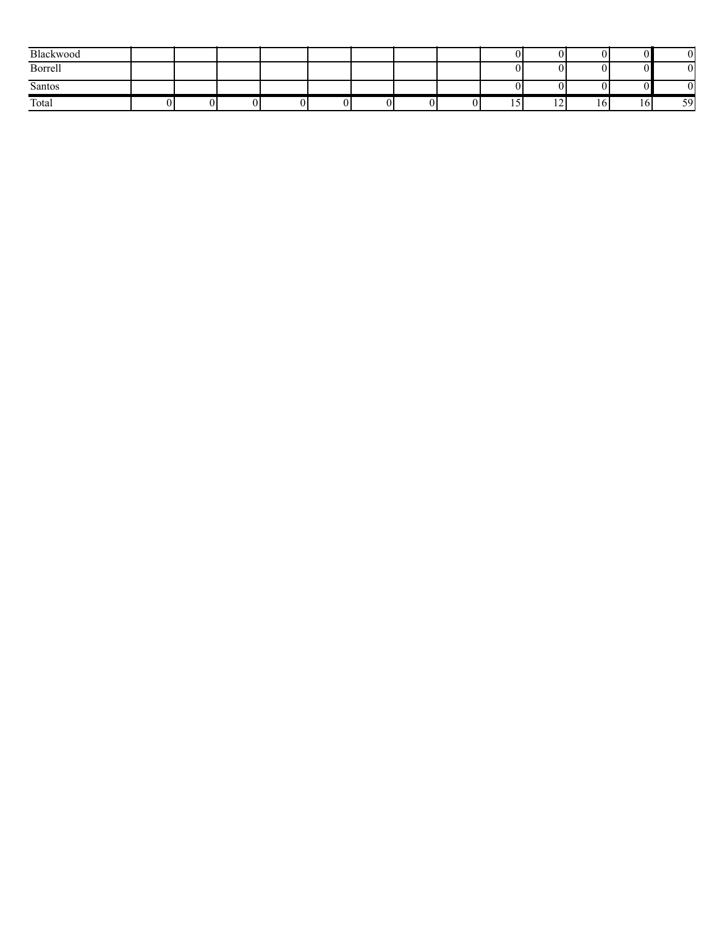| Blackwood |  |  |  |  |   |                          |    |    |
|-----------|--|--|--|--|---|--------------------------|----|----|
| Borrell   |  |  |  |  |   |                          |    | v  |
| Santos    |  |  |  |  |   |                          |    |    |
| Total     |  |  |  |  | … | $\sim$<br>$\overline{1}$ | 10 | 59 |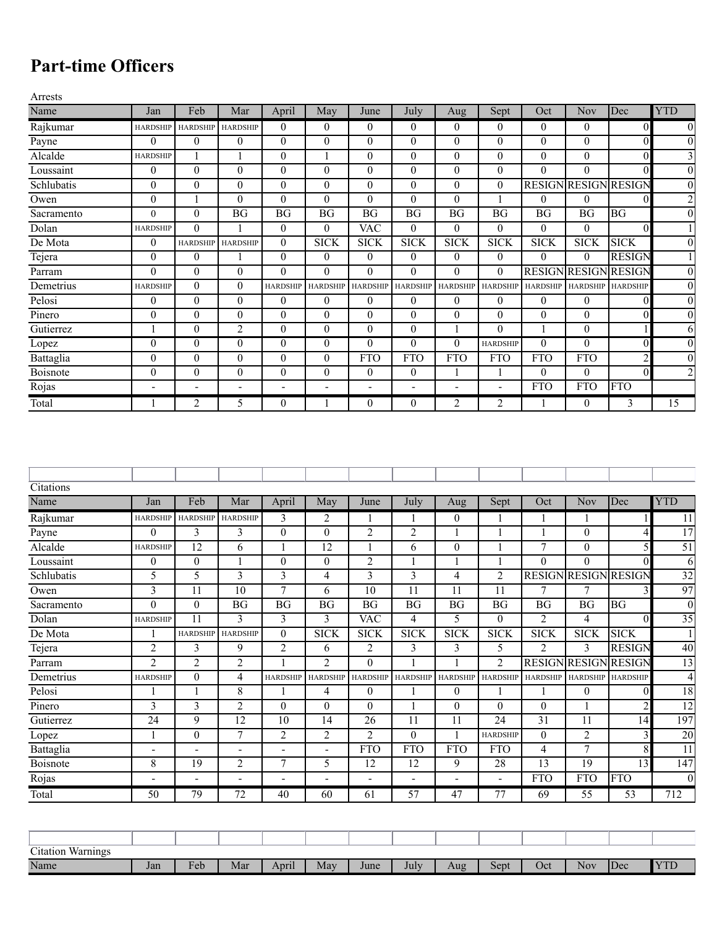## **Part-time Officers**

| Name<br>Feb<br>Mar<br>May<br>Sept<br>Oct<br>Jan<br>April<br>July<br>June<br>Aug<br>Rajkumar<br>$\mathbf{0}$<br>$\mathbf{0}$<br><b>HARDSHIP</b><br>$\mathbf{0}$<br>$\mathbf{0}$<br>$\overline{0}$<br>0<br>$\overline{0}$<br><b>HARDSHIP</b><br><b>HARDSHIP</b>                       |                             |                      |                         |
|-------------------------------------------------------------------------------------------------------------------------------------------------------------------------------------------------------------------------------------------------------------------------------------|-----------------------------|----------------------|-------------------------|
|                                                                                                                                                                                                                                                                                     | Nov                         | Dec                  | <b>YTD</b>              |
|                                                                                                                                                                                                                                                                                     | $\overline{0}$              | $\boldsymbol{0}$     | $\boldsymbol{0}$        |
| $\theta$<br>$\overline{0}$<br>$\theta$<br>$\mathbf{0}$<br>$\theta$<br>$\boldsymbol{0}$<br>$\theta$<br>$\theta$<br>$\overline{0}$<br>Payne<br>$\overline{0}$                                                                                                                         | $\theta$                    | $\mathbf{0}$         | $\boldsymbol{0}$        |
| Alcalde<br>$\theta$<br>$\boldsymbol{0}$<br>$\mathbf{0}$<br>$\boldsymbol{0}$<br>$\overline{0}$<br>$\mathbf{0}$<br>1<br>1<br>1<br><b>HARDSHIP</b>                                                                                                                                     | $\overline{0}$              | $\boldsymbol{0}$     | 3                       |
| $\boldsymbol{0}$<br>$\theta$<br>$\mathbf{0}$<br>$\mathbf{0}$<br>$\mathbf{0}$<br>$\mathbf{0}$<br>$\mathbf{0}$<br>$\mathbf{0}$<br>$\overline{0}$<br>$\boldsymbol{0}$<br>Loussaint                                                                                                     | $\theta$                    | $\boldsymbol{0}$     | $\boldsymbol{0}$        |
| $\mathbf{0}$<br>$\mathbf{0}$<br>$\mathbf{0}$<br>$\mathbf{0}$<br>$\theta$<br>$\mathbf{0}$<br>$\boldsymbol{0}$<br><b>RESIGN</b><br>Schlubatis<br>$\mathbf{0}$<br>$\overline{0}$                                                                                                       |                             | <b>RESIGN RESIGN</b> | $\boldsymbol{0}$        |
| $\boldsymbol{0}$<br>$\mathbf{0}$<br>$\mathbf{0}$<br>$\theta$<br>$\mathbf{0}$<br>$\mathbf{0}$<br>$\mathbf{0}$<br>$\mathbf{0}$<br>Owen                                                                                                                                                | $\boldsymbol{0}$            | $\mathbf{0}$         | $\overline{2}$          |
| $\boldsymbol{0}$<br><b>BG</b><br><b>BG</b><br><b>BG</b><br><b>BG</b><br><b>BG</b><br><b>BG</b><br><b>BG</b><br><b>BG</b><br>Sacramento<br>$\boldsymbol{0}$                                                                                                                          | <b>BG</b>                   | BG                   | $\boldsymbol{0}$        |
| $\overline{0}$<br>$\mathbf{0}$<br><b>VAC</b><br>$\mathbf{0}$<br>$\overline{0}$<br>$\overline{0}$<br>$\mathbf{0}$<br>Dolan<br>$\boldsymbol{0}$<br><b>HARDSHIP</b><br>1                                                                                                               | $\overline{0}$              | $\boldsymbol{0}$     | $\mathbf{1}$            |
| De Mota<br>$\boldsymbol{0}$<br><b>SICK</b><br><b>SICK</b><br><b>SICK</b><br><b>SICK</b><br><b>SICK</b><br><b>SICK</b><br>$\boldsymbol{0}$<br><b>HARDSHIP</b><br><b>HARDSHIP</b>                                                                                                     | <b>SICK</b>                 | <b>SICK</b>          | $\overline{0}$          |
| $\boldsymbol{0}$<br>$\boldsymbol{0}$<br>$\boldsymbol{0}$<br>$\boldsymbol{0}$<br>$\mathbf{0}$<br>$\boldsymbol{0}$<br>Tejera<br>0<br>$\boldsymbol{0}$<br>0                                                                                                                            | $\mathbf{0}$                | <b>RESIGN</b>        | 1                       |
| $\theta$<br><b>RESIGN</b><br>$\mathbf{0}$<br>$\theta$<br>$\mathbf{0}$<br>$\theta$<br>$\boldsymbol{0}$<br>$\theta$<br>$\theta$<br>$\overline{0}$<br>Parram                                                                                                                           | <b>RESIGN</b>               | <b>RESIGN</b>        | $\boldsymbol{0}$        |
| Demetrius<br>$\theta$<br>$\overline{0}$<br><b>HARDSHIP</b><br><b>HARDSHIP</b><br><b>HARDSHIP</b><br><b>HARDSHIP</b><br><b>HARDSHIP</b><br><b>HARDSHIP</b><br><b>HARDSHIP</b><br><b>HARDSHIP</b>                                                                                     | <b>HARDSHIP</b>             | <b>HARDSHIP</b>      | $\boldsymbol{0}$        |
| $\mathbf{0}$<br>$\mathbf{0}$<br>Pelosi<br>$\boldsymbol{0}$<br>$\mathbf{0}$<br>$\theta$<br>$\boldsymbol{0}$<br>$\mathbf{0}$<br>$\mathbf{0}$<br>$\overline{0}$<br>$\mathbf{0}$                                                                                                        | $\theta$                    | $\boldsymbol{0}$     | $\boldsymbol{0}$        |
| $\mathbf{0}$<br>$\mathbf{0}$<br>$\mathbf{0}$<br>$\mathbf{0}$<br>$\theta$<br>$\mathbf{0}$<br>$\mathbf{0}$<br>$\boldsymbol{0}$<br>$\overline{0}$<br>$\mathbf{0}$<br>Pinero                                                                                                            | $\Omega$                    | $\theta$             | $\boldsymbol{0}$        |
| $\overline{c}$<br>$\boldsymbol{0}$<br>$\boldsymbol{0}$<br>$\mathbf{0}$<br>$\boldsymbol{0}$<br>$\boldsymbol{0}$<br>$\mathbf{0}$<br>$\mathbf{1}$<br>Gutierrez<br>1                                                                                                                    | $\mathbf{0}$                | $\mathbf{1}$         | 6                       |
| $\boldsymbol{0}$<br>$\boldsymbol{0}$<br>$\boldsymbol{0}$<br>$\theta$<br>$\boldsymbol{0}$<br>$\mathbf{0}$<br>$\boldsymbol{0}$<br>$\boldsymbol{0}$<br>$\overline{0}$<br><b>HARDSHIP</b><br>Lopez                                                                                      | $\boldsymbol{0}$            | $\boldsymbol{0}$     | $\boldsymbol{0}$        |
| $\boldsymbol{0}$<br><b>FTO</b><br><b>FTO</b><br><b>FTO</b><br>Battaglia<br>$\overline{0}$<br>$\mathbf{0}$<br>$\mathbf{0}$<br>$\mathbf{0}$<br><b>FTO</b><br><b>FTO</b>                                                                                                               | <b>FTO</b>                  | $\overline{2}$       | $\boldsymbol{0}$        |
| Boisnote<br>$\mathbf{0}$<br>$\mathbf{0}$<br>$\overline{0}$<br>$\theta$<br>$\mathbf{0}$<br>$\theta$<br>$\boldsymbol{0}$<br>$\overline{0}$<br>1<br>1                                                                                                                                  | $\boldsymbol{0}$            | $\mathbf{0}$         | $\overline{2}$          |
| <b>FTO</b><br>Rojas<br>÷,<br>$\overline{a}$<br>÷,<br>$\overline{\phantom{a}}$<br>$\blacksquare$<br>-<br>$\overline{a}$                                                                                                                                                              | <b>FTO</b>                  | <b>FTO</b>           |                         |
| Total<br>2<br>$\boldsymbol{0}$<br>2<br>2<br>5<br>$\boldsymbol{0}$<br>$\mathbf{0}$<br>1<br>1<br>1                                                                                                                                                                                    | $\mathbf{0}$                | 3                    | 15                      |
| Citations                                                                                                                                                                                                                                                                           |                             |                      |                         |
| Feb<br>Mar<br>May<br>Sept<br>Oct<br>Name<br>July<br>Jan<br>April<br>June<br>Aug                                                                                                                                                                                                     | Nov                         | Dec                  |                         |
| Rajkumar<br><b>HARDSHIP</b><br>3<br>2<br>$\boldsymbol{0}$<br><b>HARDSHIP</b><br>$\mathbf{1}$<br>1<br><b>HARDSHIP</b><br>1<br>1                                                                                                                                                      | 1                           |                      | <b>YTD</b>              |
| Payne<br>3<br>$\boldsymbol{0}$<br>$\mathbf{0}$<br>$\overline{c}$<br>$\overline{c}$<br>$\boldsymbol{0}$<br>3<br>1<br>1                                                                                                                                                               | $\theta$                    | 1                    | 11                      |
|                                                                                                                                                                                                                                                                                     |                             | $\overline{4}$       | 17                      |
| 7<br>Alcalde<br>12<br>6<br>$\mathbf{1}$<br>12<br>$\boldsymbol{0}$<br>$\mathbf{1}$<br>6<br><b>HARDSHIP</b><br>1                                                                                                                                                                      | $\mathbf{0}$                | $\mathfrak s$        | 51                      |
| $\boldsymbol{0}$<br>$\boldsymbol{0}$<br>$\overline{2}$<br>$\Omega$<br>$\boldsymbol{0}$<br>$\boldsymbol{0}$<br>$\mathbf{1}$<br>Loussaint<br>1<br>1<br>1                                                                                                                              | $\Omega$                    | $\boldsymbol{0}$     | 6                       |
| 5<br>5<br>$\overline{3}$<br>$\overline{\mathbf{3}}$<br>$\overline{4}$<br>$\overline{\mathbf{3}}$<br>$\overline{3}$<br>$\overline{4}$<br>$\overline{2}$<br>Schlubatis                                                                                                                | <b>RESIGN RESIGN RESIGN</b> |                      | $\overline{32}$         |
| $\overline{3}$<br>$\tau$<br>$\overline{10}$<br>$\overline{10}$<br>$\overline{11}$<br>$\overline{11}$<br>11<br>7<br>11<br>6<br>Owen                                                                                                                                                  | 7                           | 3                    | 97                      |
| $\mathbf{0}$<br>$\mathbf{0}$<br>BG<br>BG<br>BG<br>BG<br>BG<br>BG<br>BG<br><b>BG</b><br>Sacramento                                                                                                                                                                                   | BG                          | $\overline{BG}$      | $\overline{0}$          |
| 3<br>3<br>5<br>$\overline{0}$<br>2<br>Dolan<br><b>HARDSHIP</b><br>11<br>3<br><b>VAC</b><br>4                                                                                                                                                                                        | 4                           | $\mathbf{0}$         | $\overline{35}$         |
| <b>SICK</b><br><b>SICK</b><br><b>SICK</b><br><b>SICK</b><br>De Mota<br>$\mathbf{1}$<br><b>HARDSHIP</b><br>$\theta$<br><b>SICK</b><br><b>SICK</b><br><b>HARDSHIP</b>                                                                                                                 | <b>SICK</b>                 | <b>SICK</b>          | $\mathbf{1}$            |
| $\overline{2}$<br>$\overline{3}$<br>$\overline{2}$<br>3<br>9<br>$\overline{2}$<br>$\overline{2}$<br>3<br>5<br>6<br>Tejera                                                                                                                                                           | 3                           | <b>RESIGN</b>        | 40                      |
| $\overline{2}$<br>$\overline{2}$<br>2<br>2<br>2<br>$\mathbf{0}$<br>$\mathbf{1}$<br><b>RESIGN</b><br>$\mathbf{1}$<br>1<br>Parram                                                                                                                                                     | <b>RESIGN</b>               | <b>RESIGN</b>        | 13                      |
| $\overline{0}$<br>4<br><b>HARDSHIP</b><br>Demetrius<br><b>HARDSHIP</b><br><b>HARDSHIP</b><br><b>HARDSHIP</b><br><b>HARDSHIP</b><br><b>HARDSHIP</b><br><b>HARDSHIP</b><br><b>HARDSHIP</b>                                                                                            |                             | HARDSHIP HARDSHIP    | $\overline{4}$          |
| $\overline{8}$<br>$\overline{4}$<br>$\overline{0}$<br>$\overline{0}$<br>Pelosi<br>$\mathbf{1}$<br>$\mathbf{1}$<br>1<br>1<br>1<br>1                                                                                                                                                  | $\overline{0}$              | $\boldsymbol{0}$     | 18                      |
| $\overline{\mathbf{3}}$<br>$\overline{3}$<br>$\overline{2}$<br>Pinero<br>$\boldsymbol{0}$<br>$\mathbf{0}$<br>$\boldsymbol{0}$<br>$\boldsymbol{0}$<br>$\overline{0}$<br>$\boldsymbol{0}$<br>1                                                                                        | 1                           | $\overline{2}$       | $\overline{12}$         |
| $\overline{9}$<br>$\overline{24}$<br>$\overline{12}$<br>$\overline{31}$<br>10<br>14<br>26<br>11<br>11<br>24<br>Gutierrez                                                                                                                                                            | 11                          | 14                   | 197                     |
| $\tau$<br>$\boldsymbol{0}$<br>$\overline{2}$<br>$\overline{2}$<br>2<br>$\mathbf{0}$<br>$\mathbf{1}$<br>$\mathbf{1}$<br><b>HARDSHIP</b><br>$\overline{0}$<br>Lopez                                                                                                                   | $\overline{2}$              | $\mathfrak{Z}$       | 20                      |
| Battaglia<br><b>FTO</b><br><b>FTO</b><br><b>FTO</b><br><b>FTO</b><br>4<br>$\overline{\phantom{a}}$<br>$\overline{\phantom{0}}$<br>$\blacksquare$<br>÷,<br>$\overline{\phantom{a}}$                                                                                                  | $\overline{7}$              | $\,$ 8 $\,$          | 11                      |
| 8<br>$\overline{19}$<br>$\overline{12}$<br>$\overline{12}$<br>9<br>28<br>$\overline{13}$<br>Boisnote<br>2<br>7<br>5                                                                                                                                                                 | 19                          | 13                   | 147                     |
| Rojas<br><b>FTO</b><br>$\blacksquare$<br>$\blacksquare$<br>$\blacksquare$<br>$\blacksquare$<br>$\overline{\phantom{a}}$<br>$\blacksquare$<br>$\overline{\phantom{a}}$<br>$\blacksquare$<br>$\overline{\phantom{a}}$<br>79<br>72<br>57<br>Total<br>$\overline{50}$<br>47<br>77<br>69 | <b>FTO</b><br>55            | <b>FTO</b><br>53     | $\boldsymbol{0}$<br>712 |

| $\sim$<br><b>TTT</b><br>Warnings<br>$\text{U}$ tation |     |                     |     |       |     |      |      |     |      |     |            |     |                |
|-------------------------------------------------------|-----|---------------------|-----|-------|-----|------|------|-----|------|-----|------------|-----|----------------|
| Name                                                  | Jan | $\mathbf{r}$<br>Feb | Mar | April | May | June | July | Aug | Sept | Oct | <b>Nov</b> | Dec | $\blacksquare$ |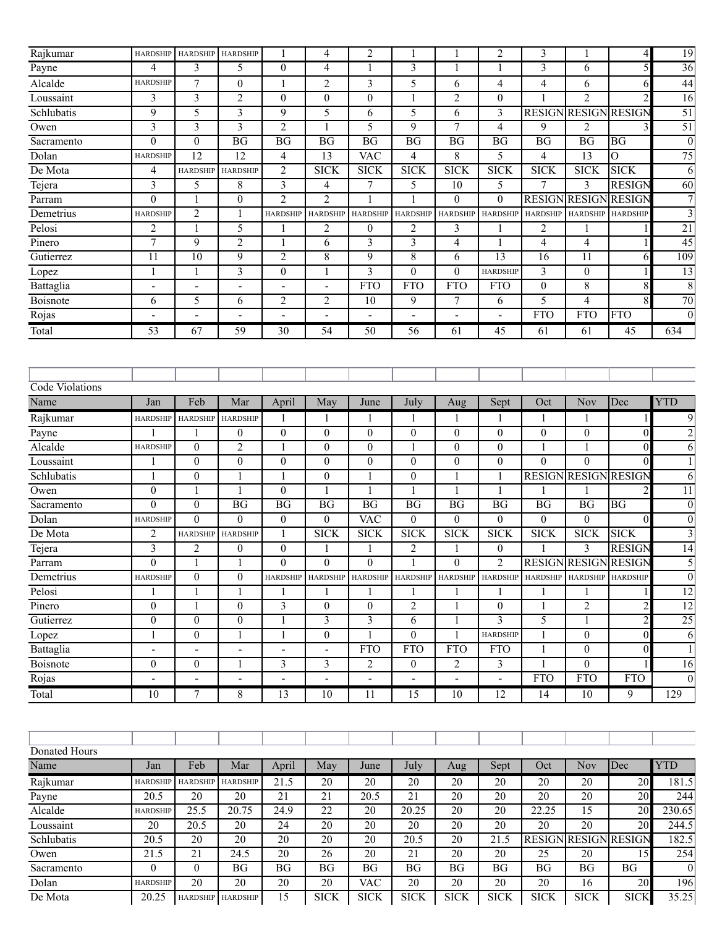| Rajkumar        | <b>HARDSHIP</b>          | <b>HARDSHIP</b>          | <b>HARDSHIP</b>          | 1                        | 4                       | $\overline{2}$               |                  | 1                        | 2                        | 3                |                             | 4                | 19                      |
|-----------------|--------------------------|--------------------------|--------------------------|--------------------------|-------------------------|------------------------------|------------------|--------------------------|--------------------------|------------------|-----------------------------|------------------|-------------------------|
| Payne           | $\overline{4}$           | 3                        | 5                        | $\mathbf{0}$             | 4                       | 1                            | 3                | $\mathbf{1}$             | 1                        | 3                | 6                           | 5                | $\overline{36}$         |
| Alcalde         | <b>HARDSHIP</b>          | $\overline{7}$           | $\mathbf{0}$             | 1                        | $\overline{2}$          | 3                            | 5                | 6                        | $\overline{4}$           | $\overline{4}$   | 6                           | 6                | 44                      |
| Loussaint       | 3                        | 3                        | $\overline{c}$           | $\mathbf{0}$             | $\mathbf{0}$            | $\boldsymbol{0}$             | $\mathbf{1}$     | $\overline{2}$           | $\overline{0}$           | 1                | 2                           | $\overline{c}$   | $\overline{16}$         |
| Schlubatis      | 9                        | 5                        | 3                        | 9                        | 5                       | 6                            | 5                | 6                        | 3                        |                  | <b>RESIGN RESIGN RESIGN</b> |                  | $\overline{51}$         |
| Owen            | $\overline{\mathbf{3}}$  | 3                        | 3                        | $\overline{c}$           | $\mathbf{1}$            | 5                            | 9                | 7                        | $\overline{4}$           | 9                | $\overline{2}$              | 3                | $\overline{51}$         |
| Sacramento      | $\boldsymbol{0}$         | $\mathbf{0}$             | BG                       | $\overline{BG}$          | $\overline{BG}$         | BG                           | BG               | $\overline{BG}$          | <b>BG</b>                | BG               | BG                          | <b>BG</b>        | $\boldsymbol{0}$        |
| Dolan           | <b>HARDSHIP</b>          | $\overline{12}$          | 12                       | 4                        | $\overline{13}$         | <b>VAC</b>                   | $\overline{4}$   | 8                        | 5                        | $\overline{4}$   | 13                          | $\overline{0}$   | 75                      |
| De Mota         | $\overline{4}$           | <b>HARDSHIP</b>          | <b>HARDSHIP</b>          | $\overline{2}$           | <b>SICK</b>             | <b>SICK</b>                  | <b>SICK</b>      | <b>SICK</b>              | <b>SICK</b>              | <b>SICK</b>      | <b>SICK</b>                 | <b>SICK</b>      | 6                       |
| Tejera          | $\mathfrak{Z}$           | 5                        | $8\,$                    | 3                        | $\overline{4}$          | $\boldsymbol{7}$             | 5                | 10                       | 5                        | 7                | 3                           | <b>RESIGN</b>    | 60                      |
| Parram          | $\mathbf{0}$             | 1                        | $\mathbf{0}$             | $\overline{2}$           | $\overline{2}$          | 1                            | 1                | $\mathbf{0}$             | $\overline{0}$           | <b>RESIGN</b>    | <b>RESIGN</b>               | <b>RESIGN</b>    | 7                       |
| Demetrius       | <b>HARDSHIP</b>          | $\overline{2}$           | 1                        | <b>HARDSHIP</b>          | <b>HARDSHIP</b>         | <b>HARDSHIP</b>              | <b>HARDSHIP</b>  | <b>HARDSHIP</b>          | <b>HARDSHIP</b>          | <b>HARDSHIP</b>  | <b>HARDSHIP</b>             | <b>HARDSHIP</b>  | $\overline{3}$          |
| Pelosi          | $\overline{2}$           | 1                        | 5                        | 1                        | $\overline{2}$          | $\theta$                     | $\overline{2}$   | 3                        | 1                        | $\overline{c}$   | 1                           | 1                | 21                      |
| Pinero          | 7                        | 9                        | $\overline{2}$           | 1                        | 6                       | 3                            | $\overline{3}$   | $\overline{4}$           | 1                        | $\overline{4}$   | 4                           | 1                | 45                      |
| Gutierrez       | 11                       | 10                       | 9                        | $\overline{2}$           | $\overline{8}$          | 9                            | $\overline{8}$   | 6                        | 13                       | 16               | 11                          | 6                | 109                     |
| Lopez           | $\mathbf{1}$             | 1                        | 3                        | $\overline{0}$           | $\mathbf{1}$            | 3                            | $\mathbf{0}$     | $\overline{0}$           | <b>HARDSHIP</b>          | 3                | $\mathbf{0}$                | 1                | $\overline{13}$         |
| Battaglia       | $\overline{\phantom{a}}$ | L,                       | $\blacksquare$           |                          |                         | <b>FTO</b>                   | <b>FTO</b>       | <b>FTO</b>               | <b>FTO</b>               | $\boldsymbol{0}$ | 8                           | $\overline{8}$   | $\overline{8}$          |
| Boisnote        | 6                        | 5                        | 6                        | $\overline{2}$           | $\overline{2}$          | $\overline{10}$              | 9                | $\overline{7}$           | 6                        | 5                | 4                           | $\overline{8}$   | 70                      |
| Rojas           | $\overline{\phantom{a}}$ | $\overline{\phantom{a}}$ | $\overline{\phantom{a}}$ | $\overline{\phantom{a}}$ |                         | $\qquad \qquad \blacksquare$ |                  | $\overline{\phantom{0}}$ | $\overline{\phantom{a}}$ | <b>FTO</b>       | <b>FTO</b>                  | <b>FTO</b>       | $\overline{0}$          |
| Total           | 53                       | 67                       | $\overline{59}$          | $\overline{30}$          | $\overline{54}$         | $\overline{50}$              | $\overline{56}$  | 61                       | $\overline{45}$          | 61               | 61                          | $\overline{45}$  | 634                     |
| Code Violations |                          |                          |                          |                          |                         |                              |                  |                          |                          |                  |                             |                  |                         |
| Name            | Jan                      | Feb                      | Mar                      | April                    | May                     | June                         | July             | Aug                      | Sept                     | Oct              | Nov                         | Dec              | <b>YTD</b>              |
| Rajkumar        | <b>HARDSHIP</b>          | <b>HARDSHIP</b>          | <b>HARDSHIP</b>          | 1                        |                         | 1                            | 1                | 1                        |                          |                  | 1                           |                  | 9                       |
| Payne           |                          |                          | $\boldsymbol{0}$         | $\overline{0}$           | $\mathbf{0}$            | $\boldsymbol{0}$             | $\mathbf{0}$     | $\boldsymbol{0}$         | $\overline{0}$           | $\boldsymbol{0}$ | $\overline{0}$              | $\boldsymbol{0}$ | $\overline{2}$          |
| Alcalde         | <b>HARDSHIP</b>          | $\boldsymbol{0}$         | 2                        | 1                        | $\boldsymbol{0}$        | $\boldsymbol{0}$             | 1                | $\mathbf{0}$             | $\overline{0}$           |                  | 1                           | $\boldsymbol{0}$ | 6                       |
| Loussaint       | 1                        | $\mathbf{0}$             | $\mathbf{0}$             | $\mathbf{0}$             | $\mathbf{0}$            | $\boldsymbol{0}$             | $\mathbf{0}$     | $\boldsymbol{0}$         | $\overline{0}$           | $\mathbf{0}$     | $\mathbf{0}$                | $\mathbf{0}$     | $\mathbf{1}$            |
| Schlubatis      | $\mathbf{1}$             | $\boldsymbol{0}$         | 1                        | 1                        | $\mathbf{0}$            | $\mathbf{1}$                 | $\boldsymbol{0}$ | $\mathbf{1}$             | 1                        | <b>RESIGN</b>    | <b>RESIGN RESIGN</b>        |                  | $\overline{6}$          |
| Owen            | $\boldsymbol{0}$         | 1                        | 1                        | $\mathbf{0}$             | $\mathbf{1}$            | $\mathbf{1}$                 | 1                | $\mathbf{1}$             | 1                        |                  |                             | $\overline{2}$   | 11                      |
| Sacramento      | $\mathbf{0}$             | $\mathbf{0}$             | <b>BG</b>                | <b>BG</b>                | <b>BG</b>               | <b>BG</b>                    | <b>BG</b>        | <b>BG</b>                | <b>BG</b>                | <b>BG</b>        | BG                          | BG               | $\boldsymbol{0}$        |
| Dolan           | <b>HARDSHIP</b>          | $\theta$                 | $\theta$                 | $\bf{0}$                 | $\boldsymbol{0}$        | <b>VAC</b>                   | $\theta$         | $\theta$                 | $\overline{0}$           | $\boldsymbol{0}$ | $\overline{0}$              | $\mathbf{0}$     | $\boldsymbol{0}$        |
| De Mota         | $\overline{2}$           | <b>HARDSHIP</b>          | <b>HARDSHIP</b>          | 1                        | <b>SICK</b>             | <b>SICK</b>                  | <b>SICK</b>      | <b>SICK</b>              | <b>SICK</b>              | <b>SICK</b>      | <b>SICK</b>                 | <b>SICK</b>      | $\overline{\mathbf{3}}$ |
| Tejera          | 3                        | $\overline{\mathbf{c}}$  | $\boldsymbol{0}$         | $\boldsymbol{0}$         | 1                       | 1                            | 2                | 1                        | 0                        |                  | 3                           | <b>RESIGN</b>    | $\overline{14}$         |
| Parram          | $\theta$                 |                          |                          | $\theta$                 | $\theta$                | $\theta$                     |                  | $\theta$                 | $\overline{2}$           |                  | <b>RESIGN RESIGN RESIGN</b> |                  | 5                       |
| Demetrius       | <b>HARDSHIP</b>          | $\mathbf{0}$             | $\overline{0}$           | <b>HARDSHIP</b>          | <b>HARDSHIP</b>         | <b>HARDSHIP</b>              |                  | HARDSHIP HARDSHIP        | <b>HARDSHIP</b>          | <b>HARDSHIP</b>  | <b>HARDSHIP</b>             | <b>HARDSHIP</b>  | $\boldsymbol{0}$        |
| Pelosi          | $\mathbf{1}$             | 1                        | 1                        |                          |                         | 1                            | 1                | $\mathbf{1}$             | 1                        | 1                | 1                           |                  | $\overline{12}$         |
| Pinero          | $\boldsymbol{0}$         | 1                        | $\boldsymbol{0}$         | $\overline{3}$           | $\mathbf{0}$            | $\mathbf{0}$                 | $\overline{2}$   | 1                        | $\overline{0}$           | 1                | $\overline{2}$              | $\overline{2}$   | $\overline{12}$         |
| Gutierrez       | $\boldsymbol{0}$         | $\mathbf{0}$             | $\overline{0}$           | 1                        | $\overline{\mathbf{3}}$ | $\overline{\mathbf{3}}$      | 6                | 1                        | $\overline{3}$           | 5                | $\mathbf{1}$                | $\overline{c}$   | 25                      |
| Lopez           | $\mathbf{1}$             | $\mathbf{0}$             | $\mathbf{1}$             | 1                        | $\boldsymbol{0}$        | 1                            | $\mathbf{0}$     | $\mathbf{1}$             | <b>HARDSHIP</b>          | $\mathbf{1}$     | $\overline{0}$              | $\theta$         | 6                       |
| Battaglia       | $\blacksquare$           | L,                       |                          |                          |                         | <b>FTO</b>                   | <b>FTO</b>       | <b>FTO</b>               | <b>FTO</b>               | $\mathbf{1}$     | $\mathbf{0}$                | $\boldsymbol{0}$ | $\mathbf{1}$            |
| Boisnote        | $\boldsymbol{0}$         | $\boldsymbol{0}$         | 1                        | 3                        | 3                       | 2                            | $\boldsymbol{0}$ | $\overline{2}$           | 3                        | 1                | $\mathbf{0}$                |                  | $\overline{16}$         |
| Rojas           | $\overline{a}$           | $\blacksquare$           | $\overline{\phantom{0}}$ |                          |                         |                              |                  | $\overline{\phantom{0}}$ | ÷,                       | <b>FTO</b>       | <b>FTO</b>                  | <b>FTO</b>       | $\boldsymbol{0}$        |
| Total           | 10                       | 7                        | 8                        | 13                       | 10                      | 11                           | 15               | 10                       | 12                       | 14               | 10                          | 9                | 129                     |
| Donated Hours   |                          |                          |                          |                          |                         |                              |                  |                          |                          |                  |                             |                  |                         |
| Name            | Jan                      | Feb                      | Mar                      | April                    | May                     | June                         | July             | Aug                      | Sept                     | Oct              | Nov                         | Dec              | <b>YTD</b>              |
| Rajkumar        | <b>HARDSHIP</b>          | <b>HARDSHIP</b>          | <b>HARDSHIP</b>          | 21.5                     | $20\,$                  | 20                           | $\overline{20}$  | 20                       | 20                       | 20               | $\overline{20}$             | 20               | 181.5                   |
| Payne           | 20.5                     | 20                       | 20                       | $\overline{21}$          | $\overline{21}$         | 20.5                         | $\overline{21}$  | $\overline{20}$          | 20                       | 20               | $\overline{20}$             | 20               | 244                     |
| Alcalde         | <b>HARDSHIP</b>          | 25.5                     | 20.75                    | $\overline{24.9}$        | 22                      | 20                           | 20.25            | 20                       | 20                       | 22.25            | $\overline{15}$             | 20               | 230.65                  |
| Loussaint       | 20                       | 20.5                     | 20                       | $\overline{24}$          | $\overline{20}$         | $\overline{20}$              | $\overline{20}$  | $\overline{20}$          | $\overline{20}$          | 20               | 20                          | $\overline{20}$  | 244.5                   |
| Schlubatis      | 20.5                     | $\overline{20}$          | 20                       | 20                       | 20                      | 20                           | 20.5             | 20                       | 21.5                     | <b>RESIGN</b>    | <b>RESIGN RESIGN</b>        |                  | 182.5                   |
| Owen            | 21.5                     | 21                       | 24.5                     | $20\,$                   | 26                      | $\overline{20}$              | 21               | $20\,$                   | $20\,$                   | 25               | 20                          | 15               | 254                     |

Sacramento 0 0 BG BG BG BG BG BG BG BG BG BG 0 Dolan HARDSHIP 20 20 20 20 VAC 20 20 20 20 16 20 196 De Mota 20.25 HARDSHIP HARDSHIP 15 SICK SICK SICK SICK SICK SICK SICK SICK 35.25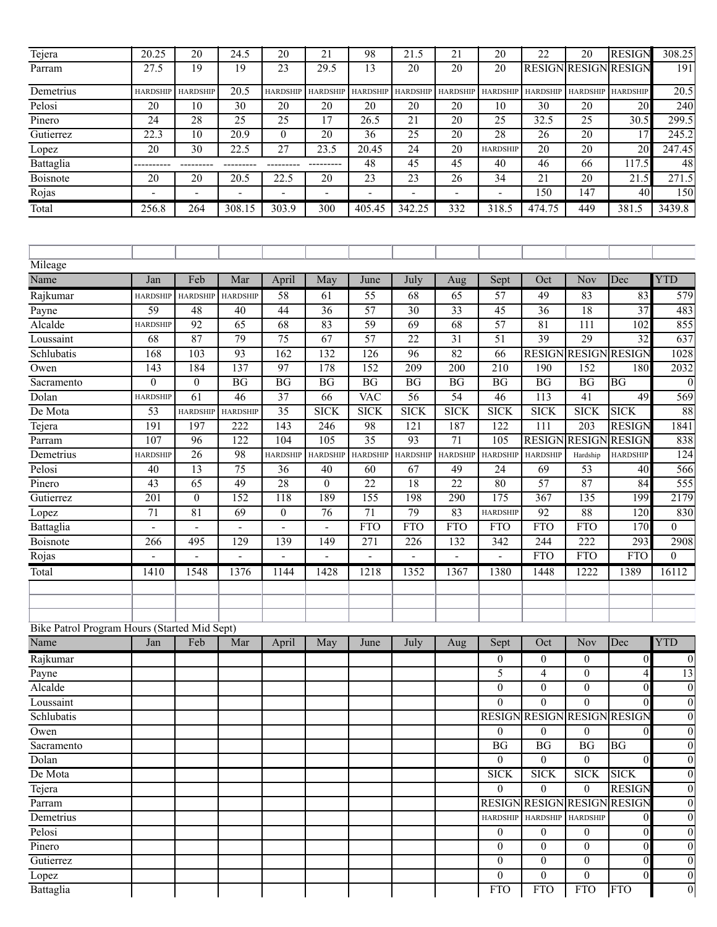| Tejera                                       | 20.25           | $\overline{20}$          | $\overline{24.5}$ | $\overline{20}$  | $\overline{21}$ | 98               | 21.5             | $\overline{21}$          | 20              | $\overline{22}$  | $\overline{20}$             | <b>RESIGN</b>     | 308.25            |
|----------------------------------------------|-----------------|--------------------------|-------------------|------------------|-----------------|------------------|------------------|--------------------------|-----------------|------------------|-----------------------------|-------------------|-------------------|
| Parram                                       | 27.5            | 19                       | 19                | 23               | 29.5            | 13               | $\overline{20}$  | $\overline{20}$          | 20              |                  | <b>RESIGN RESIGN RESIGN</b> |                   | 191               |
| Demetrius                                    | <b>HARDSHIP</b> | <b>HARDSHIP</b>          | 20.5              | <b>HARDSHIP</b>  | <b>HARDSHIP</b> | <b>HARDSHIP</b>  | <b>HARDSHIP</b>  | <b>HARDSHIP</b>          | <b>HARDSHIP</b> | <b>HARDSHIP</b>  | <b>HARDSHIP</b>             | <b>HARDSHIP</b>   | $\overline{20.5}$ |
| Pelosi                                       | 20              | 10                       | 30                | 20               | 20              | 20               | 20               | 20                       | 10              | 30               | 20                          | 20                | 240               |
| Pinero                                       | $\overline{24}$ | $\overline{28}$          | $\overline{25}$   | 25               | $\overline{17}$ | 26.5             | 21               | 20                       | $\overline{25}$ | 32.5             | 25                          | $\overline{30.5}$ | 299.5             |
| Gutierrez                                    | 22.3            | 10                       | 20.9              | $\boldsymbol{0}$ | 20              | $\overline{36}$  | 25               | 20                       | 28              | 26               | 20                          | 17                | 245.2             |
| Lopez                                        | $\overline{20}$ | $\overline{30}$          | 22.5              | 27               | 23.5            | 20.45            | 24               | $\overline{20}$          | <b>HARDSHIP</b> | $\overline{20}$  | 20                          | $\overline{20}$   | 247.45            |
| Battaglia                                    |                 |                          |                   |                  |                 | 48               | $\overline{45}$  | $\overline{45}$          | 40              | 46               | 66                          | 117.5             | 48                |
| Boisnote                                     | 20              | 20                       | 20.5              | 22.5             | 20              | 23               | 23               | 26                       | 34              | 21               | 20                          | 21.5              | 271.5             |
| Rojas                                        | ÷,              | $\overline{\phantom{0}}$ |                   |                  | ÷,              |                  | $\overline{a}$   | $\overline{\phantom{a}}$ | ÷,              | 150              | 147                         | 40                | 150               |
| Total                                        | 256.8           | 264                      | 308.15            | 303.9            | 300             | 405.45           | 342.25           | 332                      | 318.5           | 474.75           | 449                         | 381.5             | 3439.8            |
| Mileage                                      |                 |                          |                   |                  |                 |                  |                  |                          |                 |                  |                             |                   |                   |
| Name                                         | Jan             | Feb                      | Mar               |                  | May             | June             | July             |                          | Sept            | Oct              | <b>Nov</b>                  | Dec               | <b>YTD</b>        |
|                                              |                 |                          |                   | April            |                 |                  |                  | Aug                      |                 |                  |                             |                   |                   |
| Rajkumar                                     | <b>HARDSHIP</b> | <b>HARDSHIP</b>          | <b>HARDSHIP</b>   | 58               | 61              | 55               | 68               | 65                       | $\overline{57}$ | 49               | 83                          | 83                | 579               |
| Payne                                        | 59              | 48                       | 40                | 44               | 36              | 57               | $\overline{30}$  | $\overline{33}$          | $\overline{45}$ | $\overline{36}$  | 18                          | 37                | 483               |
| Alcalde                                      | <b>HARDSHIP</b> | 92                       | 65                | 68               | 83              | 59               | 69               | 68                       | 57              | $\overline{81}$  | 111                         | 102               | 855               |
| Loussaint                                    | 68              | 87                       | 79                | $\overline{75}$  | 67              | 57               | 22               | 31                       | 51              | 39               | 29                          | $\overline{32}$   | 637               |
| Schlubatis                                   | 168             | 103                      | 93                | 162              | 132             | 126              | 96               | 82                       | 66              | <b>RESIGN</b>    | <b>RESIGN</b>               | <b>RESIGN</b>     | 1028              |
| Owen                                         | 143             | 184                      | 137               | $\overline{97}$  | 178             | 152              | 209              | 200                      | 210             | 190              | 152                         | 180               | 2032              |
| Sacramento                                   | $\overline{0}$  | $\mathbf{0}$             | BG                | BG               | BG              | BG               | BG               | BG                       | BG              | BG               | BG                          | <b>BG</b>         | $\mathbf{0}$      |
| Dolan                                        | <b>HARDSHIP</b> | 61                       | 46                | $\overline{37}$  | 66              | <b>VAC</b>       | 56               | $\overline{54}$          | 46              | 113              | 41                          | 49                | 569               |
| De Mota                                      | 53              | <b>HARDSHIP</b>          | <b>HARDSHIP</b>   | 35               | <b>SICK</b>     | <b>SICK</b>      | <b>SICK</b>      | <b>SICK</b>              | <b>SICK</b>     | <b>SICK</b>      | <b>SICK</b>                 | <b>SICK</b>       | 88                |
| Tejera                                       | 191             | 197                      | 222               | 143              | 246             | 98               | $\overline{121}$ | 187                      | 122             | $\overline{111}$ | 203                         | <b>RESIGN</b>     | 1841              |
| Parram                                       | 107             | 96                       | 122               | 104              | 105             | $\overline{35}$  | 93               | 71                       | 105             | <b>RESIGN</b>    | <b>RESIGN</b>               | <b>RESIGN</b>     | 838               |
| Demetrius                                    | <b>HARDSHIP</b> | 26                       | 98                | <b>HARDSHIP</b>  | <b>HARDSHIP</b> | <b>HARDSHIP</b>  | <b>HARDSHIP</b>  | <b>HARDSHIP</b>          | <b>HARDSHIP</b> | <b>HARDSHIP</b>  | Hardship                    | <b>HARDSHIP</b>   | 124               |
| Pelosi                                       | 40              | 13                       | 75                | $\overline{36}$  | 40              | 60               | 67               | 49                       | 24              | 69               | 53                          | 40                | 566               |
| Pinero                                       | 43              | 65                       | 49                | 28               | $\theta$        | 22               | 18               | 22                       | 80              | $\overline{57}$  | 87                          | 84                | 555               |
| Gutierrez                                    | 201             | $\boldsymbol{0}$         | 152               | 118              | 189             | 155              | 198              | 290                      | 175             | 367              | 135                         | 199               | 2179              |
| Lopez                                        | $\overline{71}$ | 81                       | 69                | $\mathbf{0}$     | 76              | $\overline{71}$  | 79               | 83                       | <b>HARDSHIP</b> | 92               | 88                          | 120               | 830               |
| Battaglia                                    |                 |                          |                   |                  |                 | <b>FTO</b>       | <b>FTO</b>       | <b>FTO</b>               | <b>FTO</b>      | <b>FTO</b>       | <b>FTO</b>                  | 170               | $\Omega$          |
| Boisnote                                     | 266             | 495                      | 129               | 139              | 149             | $\overline{271}$ | 226              | 132                      | 342             | 244              | 222                         | 293               | 2908              |
| Rojas                                        |                 |                          |                   |                  |                 |                  |                  |                          |                 | <b>FTO</b>       | <b>FTO</b>                  | <b>FTO</b>        | $\mathbf{0}$      |
| Total                                        | 1410            | 1548                     | 1376              | 1144             | 1428            | 1218             | 1352             | 1367                     | 1380            | 1448             | 1222                        | 1389              | 16112             |
|                                              |                 |                          |                   |                  |                 |                  |                  |                          |                 |                  |                             |                   |                   |
|                                              |                 |                          |                   |                  |                 |                  |                  |                          |                 |                  |                             |                   |                   |
| Bike Patrol Program Hours (Started Mid Sept) |                 |                          |                   |                  |                 |                  |                  |                          |                 |                  |                             |                   |                   |
| Name                                         | Jan             | Feb                      | Mar               | April            | May             | June             | July             | Aug                      | Sept            | Oct              | <b>Nov</b>                  | Dec               | <b>YTD</b>        |
| Rajkumar                                     |                 |                          |                   |                  |                 |                  |                  |                          | $\overline{0}$  | $\mathbf{0}$     | $\overline{0}$              | $\overline{0}$    | $\boldsymbol{0}$  |
| Payne                                        |                 |                          |                   |                  |                 |                  |                  |                          | 5               | 4                | $\Omega$                    | 4                 | 13                |
| Alcalde                                      |                 |                          |                   |                  |                 |                  |                  |                          | $\Omega$        | $\overline{0}$   | $\Omega$                    | $\mathbf{0}$      | $\theta$          |
| Loussaint                                    |                 |                          |                   |                  |                 |                  |                  |                          | $\Omega$        | $\theta$         | $\Omega$                    | $\theta$          | $\mathbf{0}$      |
| Schlubatis                                   |                 |                          |                   |                  |                 |                  |                  |                          | <b>RESIGN</b>   |                  | <b>RESIGN RESIGN RESIGN</b> |                   | $\mathbf{0}$      |
| Owen                                         |                 |                          |                   |                  |                 |                  |                  |                          | $\overline{0}$  | $\mathbf{0}$     | $\overline{0}$              | $\theta$          | $\theta$          |
| Sacramento                                   |                 |                          |                   |                  |                 |                  |                  |                          | BG              | BG               | BG                          | <b>BG</b>         | $\theta$          |
| Dolan                                        |                 |                          |                   |                  |                 |                  |                  |                          | $\theta$        | $\overline{0}$   | $\theta$                    | $\theta$          | $\theta$          |
| De Mota                                      |                 |                          |                   |                  |                 |                  |                  |                          | <b>SICK</b>     | <b>SICK</b>      | <b>SICK</b>                 | <b>SICK</b>       | $\theta$          |
| Tejera                                       |                 |                          |                   |                  |                 |                  |                  |                          | $\overline{0}$  | $\theta$         | $\theta$                    | <b>RESIGN</b>     | $\theta$          |
| Parram                                       |                 |                          |                   |                  |                 |                  |                  |                          | <b>RESIGN</b>   |                  | <b>RESIGN RESIGN</b>        | <b>RESIGN</b>     | $\theta$          |
| Demetrius                                    |                 |                          |                   |                  |                 |                  |                  |                          | <b>HARDSHIP</b> | <b>HARDSHIP</b>  | <b>HARDSHIP</b>             | $\mathbf{0}$      | $\theta$          |
| Pelosi                                       |                 |                          |                   |                  |                 |                  |                  |                          | $\overline{0}$  | $\mathbf{0}$     | $\overline{0}$              | $\theta$          | $\theta$          |
| Pinero                                       |                 |                          |                   |                  |                 |                  |                  |                          | $\Omega$        | $\theta$         | $\overline{0}$              | $\theta$          | $\theta$          |
| Gutierrez                                    |                 |                          |                   |                  |                 |                  |                  |                          | $\overline{0}$  | $\overline{0}$   | $\overline{0}$              | $\theta$          | $\theta$          |
| Lopez                                        |                 |                          |                   |                  |                 |                  |                  |                          | $\overline{0}$  | $\overline{0}$   | $\mathbf{0}$                | $\theta$          | $\theta$          |
| Battaglia                                    |                 |                          |                   |                  |                 |                  |                  |                          | <b>FTO</b>      | <b>FTO</b>       | <b>FTO</b>                  | <b>FTO</b>        | $\boldsymbol{0}$  |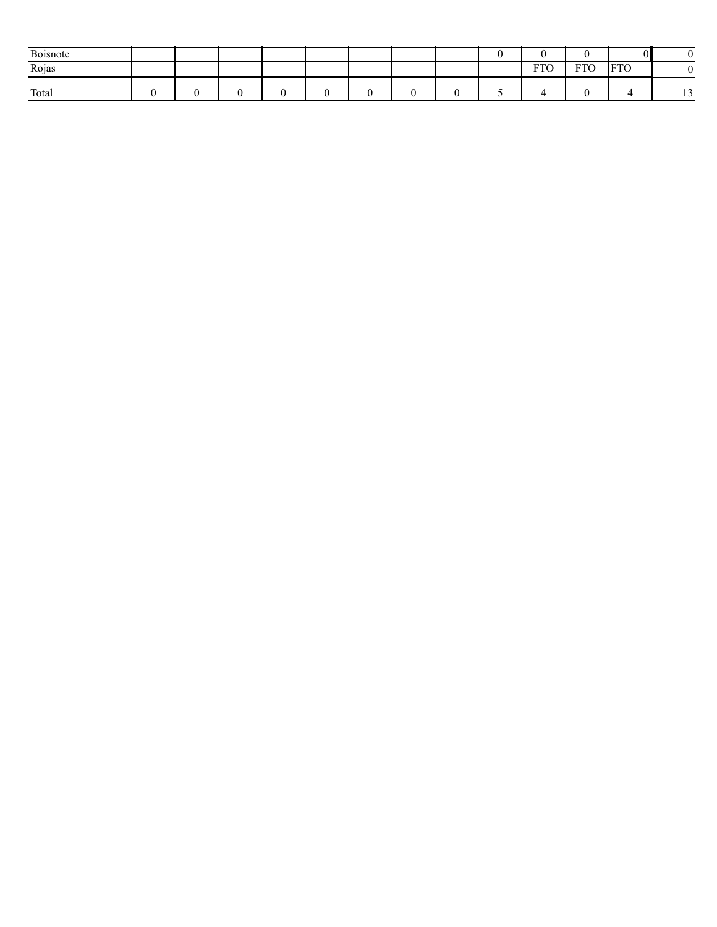| Boisnote |  |  |  |  |                        |            | n I        |                                |
|----------|--|--|--|--|------------------------|------------|------------|--------------------------------|
| Rojas    |  |  |  |  | $P^{\text{m}}$<br>TIU. | <b>FTO</b> | <b>FTO</b> | $\Omega$                       |
| Total    |  |  |  |  |                        |            |            | 1 <sub>2</sub><br>. . <i>.</i> |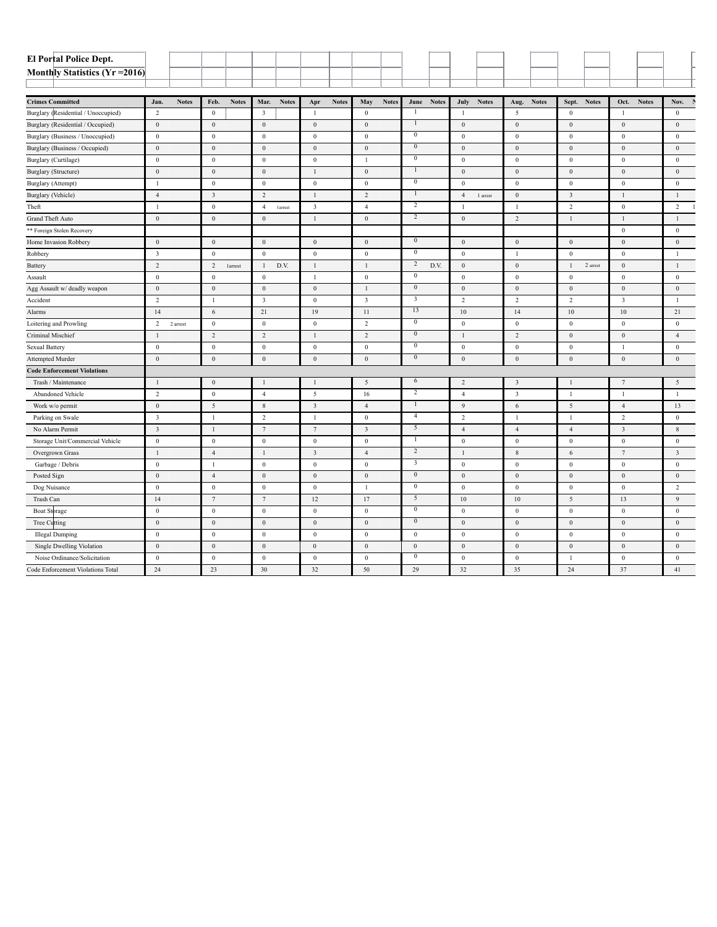| El Portal Police Dept.              |                         |              |                  |              |                         |              |                         |              |                         |              |                         |              |                  |              |                         |              |                         |              |                         |              |                  |  |
|-------------------------------------|-------------------------|--------------|------------------|--------------|-------------------------|--------------|-------------------------|--------------|-------------------------|--------------|-------------------------|--------------|------------------|--------------|-------------------------|--------------|-------------------------|--------------|-------------------------|--------------|------------------|--|
| Monthly Statistics (Yr = 2016)      |                         |              |                  |              |                         |              |                         |              |                         |              |                         |              |                  |              |                         |              |                         |              |                         |              |                  |  |
|                                     |                         |              |                  |              |                         |              |                         |              |                         |              |                         |              |                  |              |                         |              |                         |              |                         |              |                  |  |
| <b>Crimes Committed</b>             | Jan.                    | <b>Notes</b> | Feb.             | <b>Notes</b> | Mar.                    | <b>Notes</b> | Apr                     | <b>Notes</b> | May                     | <b>Notes</b> | June                    | <b>Notes</b> | July             | <b>Notes</b> | Aug.                    | <b>Notes</b> | Sept.                   | <b>Notes</b> | Oct.                    | <b>Notes</b> | Nov.             |  |
| Burglary (Residential / Unoccupied) | 2                       |              | $\boldsymbol{0}$ |              | $\overline{\mathbf{3}}$ |              | -1                      |              | $\mathbf{0}$            |              |                         |              | $\overline{1}$   |              | 5                       |              | $\mathbf{0}$            |              | $\mathbf{1}$            |              | $\mathbf{0}$     |  |
| Burglary (Residential / Occupied)   | $\boldsymbol{0}$        |              | $\boldsymbol{0}$ |              | $\boldsymbol{0}$        |              | $\boldsymbol{0}$        |              | $\boldsymbol{0}$        |              | $\mathbf{1}$            |              | $\boldsymbol{0}$ |              | $\boldsymbol{0}$        |              | $\mathbf{0}$            |              | $\bf{0}$                |              | $\boldsymbol{0}$ |  |
| Burglary (Business / Unoccupied)    | $\boldsymbol{0}$        |              | $\boldsymbol{0}$ |              | $\boldsymbol{0}$        |              | $\bf{0}$                |              | $\mathbf{0}$            |              | $\bf{0}$                |              | $\boldsymbol{0}$ |              | $\bf{0}$                |              | $\bf{0}$                |              | $\bf{0}$                |              | $\bf{0}$         |  |
| Burglary (Business / Occupied)      | $\boldsymbol{0}$        |              | $\boldsymbol{0}$ |              | $\boldsymbol{0}$        |              | $\mathbf{0}$            |              | $\boldsymbol{0}$        |              | $\overline{0}$          |              | $\mathbf{0}$     |              | $\boldsymbol{0}$        |              | $\mathbf{0}$            |              | $\mathbf{0}$            |              | $\mathbf{0}$     |  |
| Burglary (Curtilage)                | $\boldsymbol{0}$        |              | $\boldsymbol{0}$ |              | $\boldsymbol{0}$        |              | $\mathbf{0}$            |              | 1                       |              | $\bf{0}$                |              | $\bf{0}$         |              | $\boldsymbol{0}$        |              | $\mathbf{0}$            |              | $\bf{0}$                |              | $\mathbf{0}$     |  |
| Burglary (Structure)                | $\boldsymbol{0}$        |              | $\boldsymbol{0}$ |              | $\boldsymbol{0}$        |              | $\overline{1}$          |              | $\boldsymbol{0}$        |              | 1                       |              | $\boldsymbol{0}$ |              | $\bf{0}$                |              | $\mathbf{0}$            |              | $\bf{0}$                |              | $\boldsymbol{0}$ |  |
| Burglary (Attempt)                  | -1                      |              | $\mathbf{0}$     |              | $\boldsymbol{0}$        |              | $\mathbf{0}$            |              | $\mathbf{0}$            |              | $\overline{0}$          |              | $\mathbf{0}$     |              | $\overline{0}$          |              | $\mathbf{0}$            |              | $\bf{0}$                |              | $\mathbf{0}$     |  |
| Burglary (Vehicle)                  | $\overline{4}$          |              | $\overline{3}$   |              | $\overline{2}$          |              | $\overline{1}$          |              | 2                       |              | 1                       |              | $\overline{4}$   | 1 arrest     | $\mathbf{0}$            |              | $\overline{\mathbf{3}}$ |              | $\overline{1}$          |              | $\overline{1}$   |  |
| Theft                               | -1                      |              | $\boldsymbol{0}$ |              | $\overline{4}$          | larrest      | $\overline{\mathbf{3}}$ |              | $\overline{4}$          |              | 2                       |              | $\overline{1}$   |              | $\overline{1}$          |              | $\overline{2}$          |              | $\bf{0}$                |              | $\overline{2}$   |  |
| Grand Theft Auto                    | $\boldsymbol{0}$        |              | $\boldsymbol{0}$ |              | $\mathbf{0}$            |              | $\mathbf{1}$            |              | $\mathbf{0}$            |              | $\overline{2}$          |              | $\mathbf{0}$     |              | 2                       |              | $\mathbf{1}$            |              | $\overline{1}$          |              | $\overline{1}$   |  |
| ** Foreign Stolen Recovery          |                         |              |                  |              |                         |              |                         |              |                         |              |                         |              |                  |              |                         |              |                         |              | $\bf{0}$                |              | $\bf{0}$         |  |
| Home Invasion Robbery               | $\,0\,$                 |              | $\,0\,$          |              | $\boldsymbol{0}$        |              | $\boldsymbol{0}$        |              | $\mathbf{0}$            |              | $\bf{0}$                |              | $\boldsymbol{0}$ |              | $\bf{0}$                |              | $\mathbf{0}$            |              | $\bf{0}$                |              | $\boldsymbol{0}$ |  |
| Robbery                             | $\overline{\mathbf{3}}$ |              | $\boldsymbol{0}$ |              | $\boldsymbol{0}$        |              | $\bf{0}$                |              | $\mathbf{0}$            |              | $\overline{0}$          |              | $\mathbf{0}$     |              | $\mathbf{1}$            |              | $\mathbf{0}$            |              | $\bf{0}$                |              | $\overline{1}$   |  |
| Battery                             | $\overline{c}$          |              | $\overline{c}$   | larrest      | -1                      | D.V.         | $\overline{1}$          |              | $\mathbf{1}$            |              | $\overline{c}$          | D.V.         | $\bf{0}$         |              | $\mathbf{0}$            |              | -1                      | 2 arrest     | $\bf{0}$                |              | $\mathbf{1}$     |  |
| Assault                             | $\,0\,$                 |              | $\boldsymbol{0}$ |              | $\boldsymbol{0}$        |              | $\overline{1}$          |              | $\,0\,$                 |              | $\bf{0}$                |              | $\bf{0}$         |              | $\boldsymbol{0}$        |              | $\mathbf{0}$            |              | $\bf{0}$                |              | $\bf{0}$         |  |
| Agg Assault w/ deadly weapon        | $\boldsymbol{0}$        |              | $\boldsymbol{0}$ |              | $\boldsymbol{0}$        |              | $\mathbf{0}$            |              | 1                       |              | $\overline{0}$          |              | $\mathbf{0}$     |              | $\bf{0}$                |              | $\mathbf{0}$            |              | $\bf{0}$                |              | $\mathbf{0}$     |  |
| Accident                            | 2                       |              | -1               |              | $\overline{\mathbf{3}}$ |              | $\bf{0}$                |              | $\overline{\mathbf{3}}$ |              | 3                       |              | 2                |              | 2                       |              | 2                       |              | 3                       |              | $\overline{1}$   |  |
| Alarms                              | 14                      |              | $\sqrt{6}$       |              | 21                      |              | 19                      |              | 11                      |              | 13                      |              | 10               |              | 14                      |              | $10\,$                  |              | $10\,$                  |              | 21               |  |
| Loitering and Prowling              | $\overline{2}$          | 2 arrest     | $\boldsymbol{0}$ |              | $\boldsymbol{0}$        |              | $\bf{0}$                |              | $\overline{2}$          |              | $\overline{0}$          |              | $\mathbf{0}$     |              | $\mathbf{0}$            |              | $\mathbf{0}$            |              | $\mathbf{0}$            |              | $\Omega$         |  |
| Criminal Mischief                   | -1                      |              | $\overline{2}$   |              | $\overline{2}$          |              | $\overline{1}$          |              | 2                       |              | $\overline{0}$          |              | $\overline{1}$   |              | 2                       |              | $\mathbf{0}$            |              | $\bf{0}$                |              | $\overline{4}$   |  |
| Sexual Battery                      | $\mathbf{0}$            |              | $\boldsymbol{0}$ |              | $\boldsymbol{0}$        |              | $\mathbf{0}$            |              | $\mathbf{0}$            |              | $\bf{0}$                |              | $\mathbf{0}$     |              | $\boldsymbol{0}$        |              | $\mathbf{0}$            |              | $\mathbf{1}$            |              | $\boldsymbol{0}$ |  |
| Attempted Murder                    | $\boldsymbol{0}$        |              | $\boldsymbol{0}$ |              | $\boldsymbol{0}$        |              | $\mathbf{0}$            |              | $\mathbf{0}$            |              | $\overline{0}$          |              | $\mathbf{0}$     |              | $\mathbf{0}$            |              | $\mathbf{0}$            |              | $\mathbf{0}$            |              | $\Omega$         |  |
| <b>Code Enforcement Violations</b>  |                         |              |                  |              |                         |              |                         |              |                         |              |                         |              |                  |              |                         |              |                         |              |                         |              |                  |  |
| Trash / Maintenance                 | <sup>1</sup>            |              | $\mathbf{0}$     |              | $\overline{1}$          |              | $\overline{1}$          |              | 5                       |              | 6                       |              | $\overline{2}$   |              | $\overline{\mathbf{3}}$ |              | $\overline{1}$          |              | $7\phantom{.0}$         |              | 5                |  |
| Abandoned Vehicle                   | $\overline{2}$          |              | $\mathbf{0}$     |              | $\overline{4}$          |              | 5                       |              | 16                      |              | $\overline{2}$          |              | $\overline{4}$   |              | $\overline{\mathbf{3}}$ |              | $\overline{1}$          |              | $\overline{1}$          |              | $\overline{1}$   |  |
| Work w/o permit                     | $\mathbf{0}$            |              | 5                |              | $\,$ 8 $\,$             |              | $\mathbf{3}$            |              | $\overline{4}$          |              | $\mathbf{1}$            |              | 9                |              | 6                       |              | 5                       |              | $\overline{4}$          |              | 13               |  |
| Parking on Swale                    | $\overline{\mathbf{3}}$ |              | $\mathbf{1}$     |              | $\sqrt{2}$              |              | $\overline{1}$          |              | $\bf{0}$                |              | $\overline{4}$          |              | $\overline{c}$   |              | $\overline{1}$          |              | -1                      |              | $\overline{c}$          |              | $\mathbf{0}$     |  |
| No Alarm Permit                     | $\overline{\mathbf{3}}$ |              | $\mathbf{1}$     |              | $\tau$                  |              | $7\phantom{.0}$         |              | $\overline{\mathbf{3}}$ |              | 5                       |              | $\overline{4}$   |              | $\overline{4}$          |              | $\overline{4}$          |              | $\overline{\mathbf{3}}$ |              | 8                |  |
| Storage Unit/Commercial Vehicle     | $\bf{0}$                |              | $\mathbf{0}$     |              | $\bf{0}$                |              | $\bf{0}$                |              | $\overline{0}$          |              | -1                      |              | $\bf{0}$         |              | $\bf{0}$                |              | $\bf{0}$                |              | $\bf{0}$                |              | $\bf{0}$         |  |
| Overgrown Grass                     | $\mathbf{1}$            |              | $\overline{4}$   |              | $\mathbf{1}$            |              | $\overline{\mathbf{3}}$ |              | $\overline{4}$          |              | $\overline{2}$          |              | $\overline{1}$   |              | $\,$ 8 $\,$             |              | 6                       |              | $7\phantom{.0}$         |              | 3                |  |
| Garbage / Debris                    | $\overline{0}$          |              | $\overline{1}$   |              | $\mathbf{0}$            |              | $\mathbf{0}$            |              | $\mathbf{0}$            |              | $\overline{\mathbf{3}}$ |              | $\mathbf{0}$     |              | $\mathbf{0}$            |              | $\mathbf{0}$            |              | $\mathbf{0}$            |              | $\mathbf{0}$     |  |
| Posted Sign                         | $\mathbf{0}$            |              | $\overline{4}$   |              | $\boldsymbol{0}$        |              | $\mathbf{0}$            |              | $\mathbf{0}$            |              | $\bf{0}$                |              | $\boldsymbol{0}$ |              | $\bf{0}$                |              | $\mathbf{0}$            |              | $\bf{0}$                |              | $\bf{0}$         |  |
| Dog Nuisance                        | $\mathbf{0}$            |              | $\boldsymbol{0}$ |              | $\boldsymbol{0}$        |              | $\bf{0}$                |              | $\mathbf{1}$            |              | $\overline{0}$          |              | $\bf{0}$         |              | $\bf{0}$                |              | $\mathbf{0}$            |              | $\bf{0}$                |              | $\overline{2}$   |  |
| Trash Can                           | 14                      |              | $\overline{7}$   |              | $\overline{7}$          |              | 12                      |              | 17                      |              | 5                       |              | 10               |              | 10                      |              | 5                       |              | 13                      |              | 9                |  |
| <b>Boat Storage</b>                 | $\bf{0}$                |              | $\boldsymbol{0}$ |              | $\boldsymbol{0}$        |              | $\bf{0}$                |              | $\mathbf{0}$            |              | $\bf{0}$                |              | $\mathbf{0}$     |              | $\bf{0}$                |              | $\mathbf{0}$            |              | $\bf{0}$                |              | $\bf{0}$         |  |
| Tree Cutting                        | $\boldsymbol{0}$        |              | $\boldsymbol{0}$ |              | $\boldsymbol{0}$        |              | $\mathbf{0}$            |              | $\boldsymbol{0}$        |              | $\overline{0}$          |              | $\mathbf{0}$     |              | $\mathbf{0}$            |              | $\mathbf{0}$            |              | $\mathbf{0}$            |              | $\mathbf{0}$     |  |
| <b>Illegal Dumping</b>              | $\overline{0}$          |              | $\mathbf{0}$     |              | $\mathbf{0}$            |              | $\mathbf{0}$            |              | $\mathbf{0}$            |              | $\mathbf{0}$            |              | $\mathbf{0}$     |              | $\mathbf{0}$            |              | $\mathbf{0}$            |              | $\mathbf{0}$            |              | $\theta$         |  |
| Single Dwelling Violation           | $\mathbf{0}$            |              | $\boldsymbol{0}$ |              | $\boldsymbol{0}$        |              | $\mathbf{0}$            |              | $\mathbf{0}$            |              | $\mathbf{0}$            |              | $\mathbf{0}$     |              | $\mathbf{0}$            |              | $\overline{0}$          |              | $\mathbf{0}$            |              | $\mathbf{0}$     |  |
| Noise Ordinance/Solicitation        | $\boldsymbol{0}$        |              | $\mathbf{0}$     |              | $\mathbf{0}$            |              | $\bf{0}$                |              | $\mathbf{0}$            |              | $\overline{0}$          |              | $\mathbf{0}$     |              | $\mathbf{0}$            |              | $\overline{1}$          |              | $\mathbf{0}$            |              | $\mathbf{0}$     |  |
| Code Enforcement Violations Total   | 24                      |              | 23               |              | 30                      |              | 32                      |              | 50                      |              | 29                      |              | 32               |              | 35                      |              | 24                      |              | 37                      |              | 41               |  |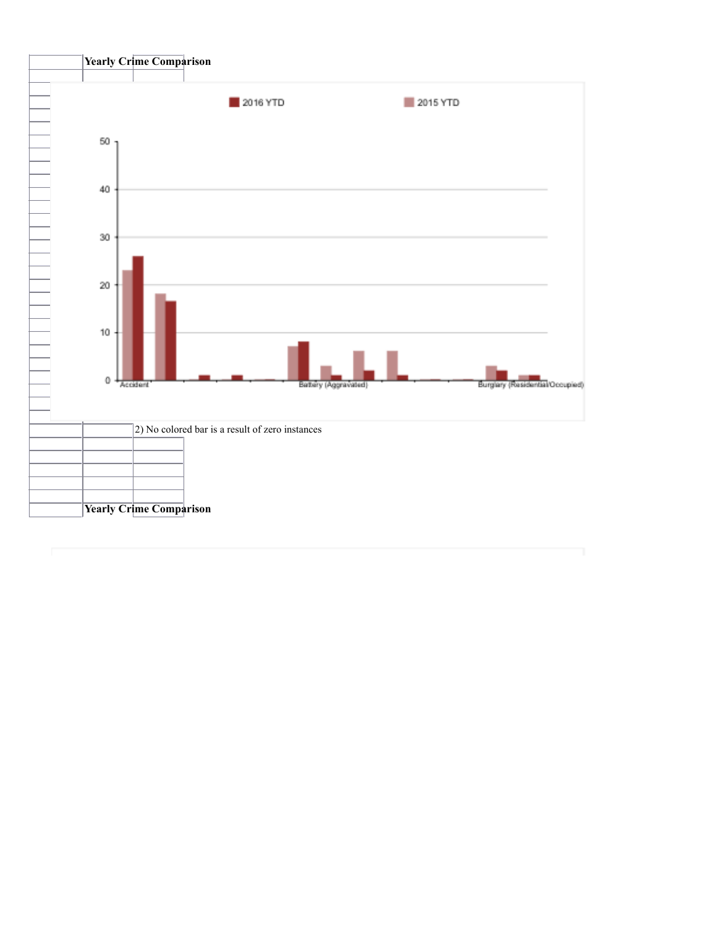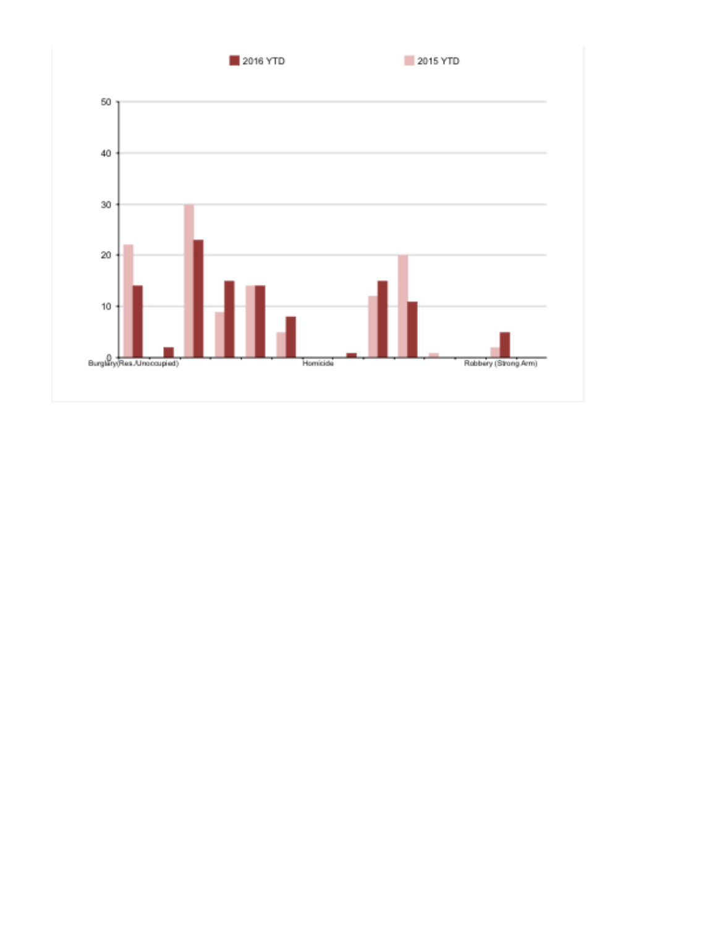